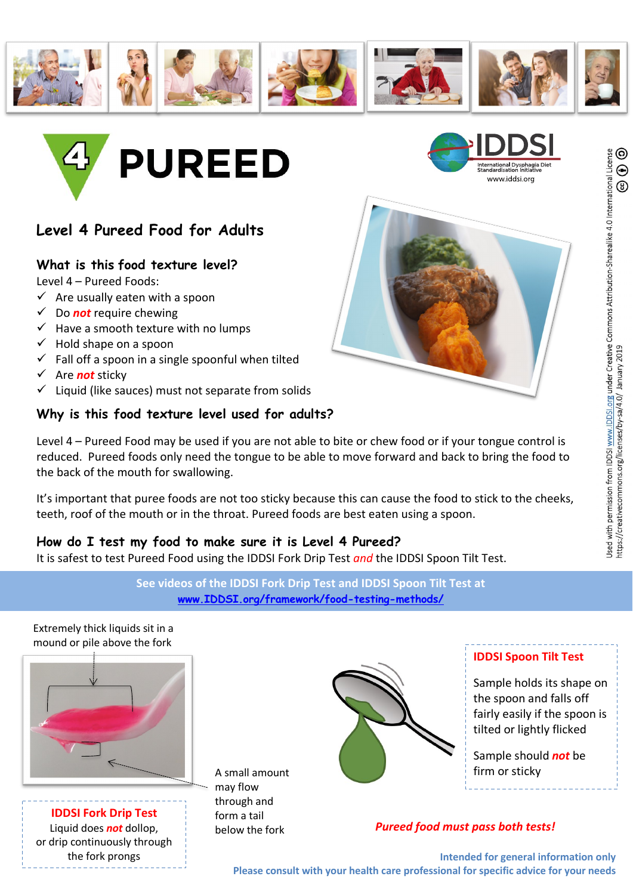



# **Level 4 Pureed Food for Adults**

## **What is this food texture level?**

Level 4 – Pureed Foods:

- $\checkmark$  Are usually eaten with a spoon
- $\checkmark$  Do **not** require chewing
- $\checkmark$  Have a smooth texture with no lumps
- $\checkmark$  Hold shape on a spoon
- $\checkmark$  Fall off a spoon in a single spoonful when tilted
- ü Are *not* sticky
- $\checkmark$  Liquid (like sauces) must not separate from solids

### **Why is this food texture level used for adults?**

www.iddsi.org

Level 4 – Pureed Food may be used if you are not able to bite or chew food or if your tongue control is reduced. Pureed foods only need the tongue to be able to move forward and back to bring the food to the back of the mouth for swallowing.

It's important that puree foods are not too sticky because this can cause the food to stick to the cheeks, teeth, roof of the mouth or in the throat. Pureed foods are best eaten using a spoon.

### **How do I test my food to make sure it is Level 4 Pureed?**

It is safest to test Pureed Food using the IDDSI Fork Drip Test *and* the IDDSI Spoon Tilt Test.

**See videos of the IDDSI Fork Drip Test and IDDSI Spoon Tilt Test at www.IDDSI.org/framework/food-testing-methods/**

Extremely thick liquids sit in a mound or pile above the fork



**IDDSI Fork Drip Test** Liquid does *not* dollop, or drip continuously through the fork prongs

A small amount may flow through and form a tail below the fork



#### **IDDSI Spoon Tilt Test**

Sample holds its shape on the spoon and falls off fairly easily if the spoon is tilted or lightly flicked

Sample should *not* be firm or sticky

### *Pureed food must pass both tests!*

**Intended for general information only Please consult with your health care professional for specific advice for your needs**